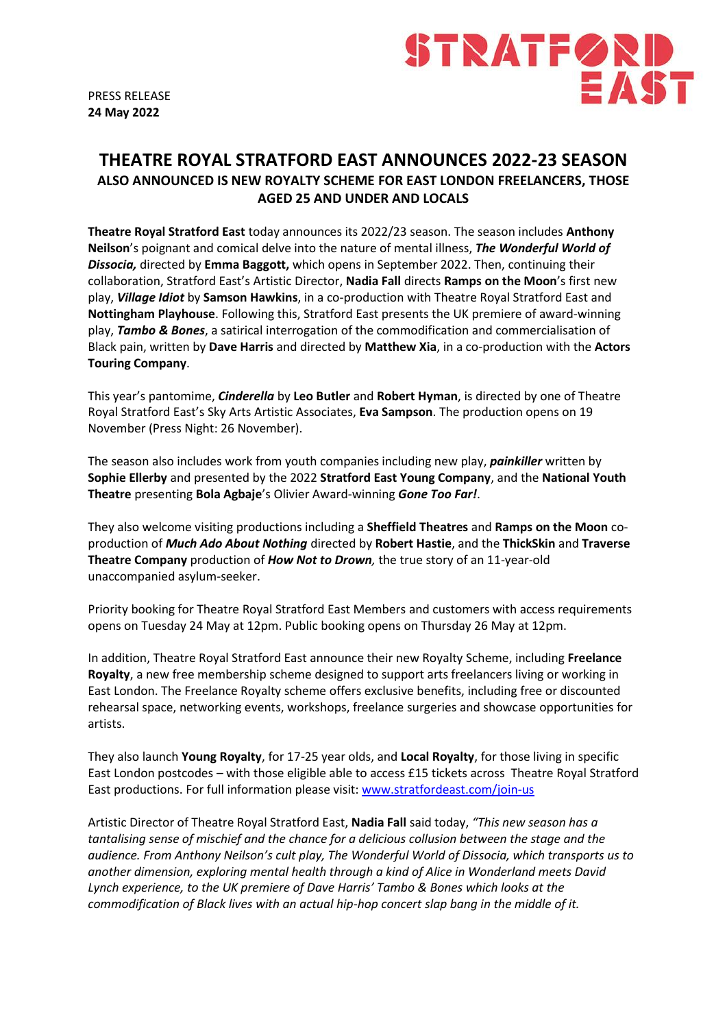



# **THEATRE ROYAL STRATFORD EAST ANNOUNCES 2022-23 SEASON ALSO ANNOUNCED IS NEW ROYALTY SCHEME FOR EAST LONDON FREELANCERS, THOSE AGED 25 AND UNDER AND LOCALS**

**Theatre Royal Stratford East** today announces its 2022/23 season. The season includes **Anthony Neilson**'s poignant and comical delve into the nature of mental illness, *The Wonderful World of Dissocia,* directed by **Emma Baggott,** which opens in September 2022. Then, continuing their collaboration, Stratford East's Artistic Director, **Nadia Fall** directs **Ramps on the Moon**'s first new play, *Village Idiot* by **Samson Hawkins**, in a co-production with Theatre Royal Stratford East and **Nottingham Playhouse**. Following this, Stratford East presents the UK premiere of award-winning play, *Tambo & Bones*, a satirical interrogation of the commodification and commercialisation of Black pain, written by **Dave Harris** and directed by **Matthew Xia**, in a co-production with the **Actors Touring Company**.

This year's pantomime, *Cinderella* by **Leo Butler** and **Robert Hyman**, is directed by one of Theatre Royal Stratford East's Sky Arts Artistic Associates, **Eva Sampson**. The production opens on 19 November (Press Night: 26 November).

The season also includes work from youth companies including new play, *painkiller* written by **Sophie Ellerby** and presented by the 2022 **Stratford East Young Company**, and the **National Youth Theatre** presenting **Bola Agbaje**'s Olivier Award-winning *Gone Too Far!*.

They also welcome visiting productions including a **Sheffield Theatres** and **Ramps on the Moon** coproduction of *Much Ado About Nothing* directed by **Robert Hastie**, and the **ThickSkin** and **Traverse Theatre Company** production of *How Not to Drown,* the true story of an 11-year-old unaccompanied asylum-seeker.

Priority booking for Theatre Royal Stratford East Members and customers with access requirements opens on Tuesday 24 May at 12pm. Public booking opens on Thursday 26 May at 12pm.

In addition, Theatre Royal Stratford East announce their new Royalty Scheme, including **Freelance Royalty**, a new free membership scheme designed to support arts freelancers living or working in East London. The Freelance Royalty scheme offers exclusive benefits, including free or discounted rehearsal space, networking events, workshops, freelance surgeries and showcase opportunities for artists.

They also launch **Young Royalty**, for 17-25 year olds, and **Local Royalty**, for those living in specific East London postcodes – with those eligible able to access £15 tickets across Theatre Royal Stratford East productions. For full information please visit: [www.stratfordeast.com/join-us](http://www.stratfordeast.com/join-us)

Artistic Director of Theatre Royal Stratford East, **Nadia Fall** said today, *"This new season has a tantalising sense of mischief and the chance for a delicious collusion between the stage and the audience. From Anthony Neilson's cult play, The Wonderful World of Dissocia, which transports us to another dimension, exploring mental health through a kind of Alice in Wonderland meets David Lynch experience, to the UK premiere of Dave Harris' Tambo & Bones which looks at the commodification of Black lives with an actual hip-hop concert slap bang in the middle of it.*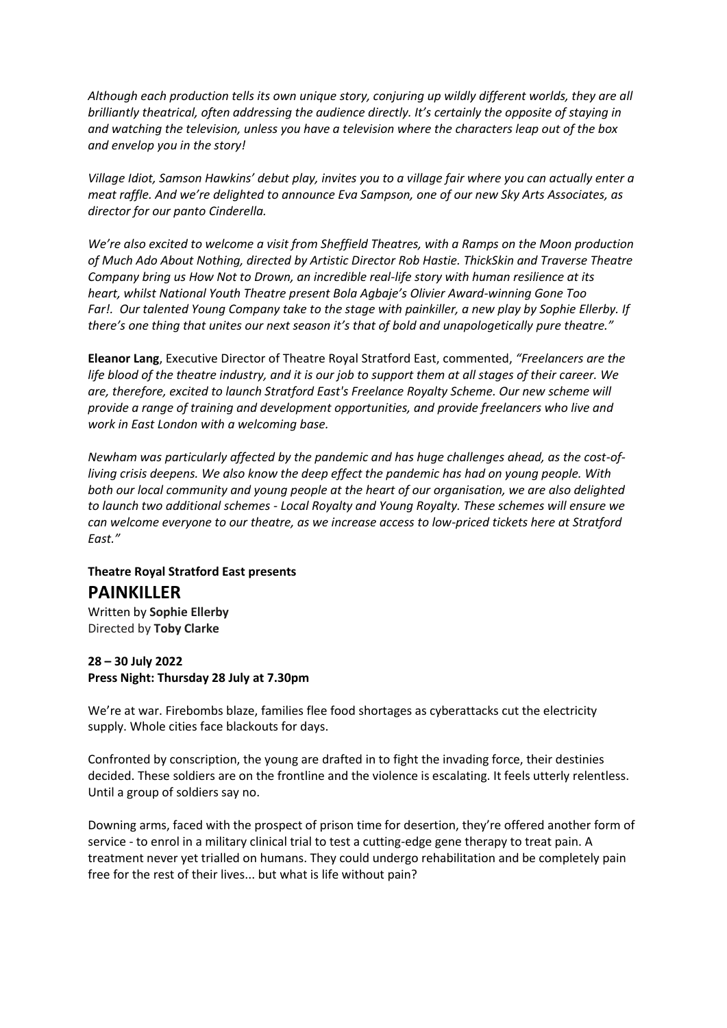*Although each production tells its own unique story, conjuring up wildly different worlds, they are all brilliantly theatrical, often addressing the audience directly. It's certainly the opposite of staying in and watching the television, unless you have a television where the characters leap out of the box and envelop you in the story!*

*Village Idiot, Samson Hawkins' debut play, invites you to a village fair where you can actually enter a meat raffle. And we're delighted to announce Eva Sampson, one of our new Sky Arts Associates, as director for our panto Cinderella.*

*We're also excited to welcome a visit from Sheffield Theatres, with a Ramps on the Moon production of Much Ado About Nothing, directed by Artistic Director Rob Hastie. ThickSkin and Traverse Theatre Company bring us How Not to Drown, an incredible real-life story with human resilience at its heart, whilst National Youth Theatre present Bola Agbaje's Olivier Award-winning Gone Too Far!. Our talented Young Company take to the stage with painkiller, a new play by Sophie Ellerby. If there's one thing that unites our next season it's that of bold and unapologetically pure theatre."*

**Eleanor Lang**, Executive Director of Theatre Royal Stratford East, commented, *"Freelancers are the life blood of the theatre industry, and it is our job to support them at all stages of their career. We are, therefore, excited to launch Stratford East's Freelance Royalty Scheme. Our new scheme will provide a range of training and development opportunities, and provide freelancers who live and work in East London with a welcoming base.* 

*Newham was particularly affected by the pandemic and has huge challenges ahead, as the cost-ofliving crisis deepens. We also know the deep effect the pandemic has had on young people. With both our local community and young people at the heart of our organisation, we are also delighted to launch two additional schemes - Local Royalty and Young Royalty. These schemes will ensure we can welcome everyone to our theatre, as we increase access to low-priced tickets here at Stratford East."*

# **Theatre Royal Stratford East presents**

## **PAINKILLER**

Written by **Sophie Ellerby** Directed by **Toby Clarke**

#### **28 – 30 July 2022 Press Night: Thursday 28 July at 7.30pm**

We're at war. Firebombs blaze, families flee food shortages as cyberattacks cut the electricity supply. Whole cities face blackouts for days.

Confronted by conscription, the young are drafted in to fight the invading force, their destinies decided. These soldiers are on the frontline and the violence is escalating. It feels utterly relentless. Until a group of soldiers say no.

Downing arms, faced with the prospect of prison time for desertion, they're offered another form of service - to enrol in a military clinical trial to test a cutting-edge gene therapy to treat pain. A treatment never yet trialled on humans. They could undergo rehabilitation and be completely pain free for the rest of their lives... but what is life without pain?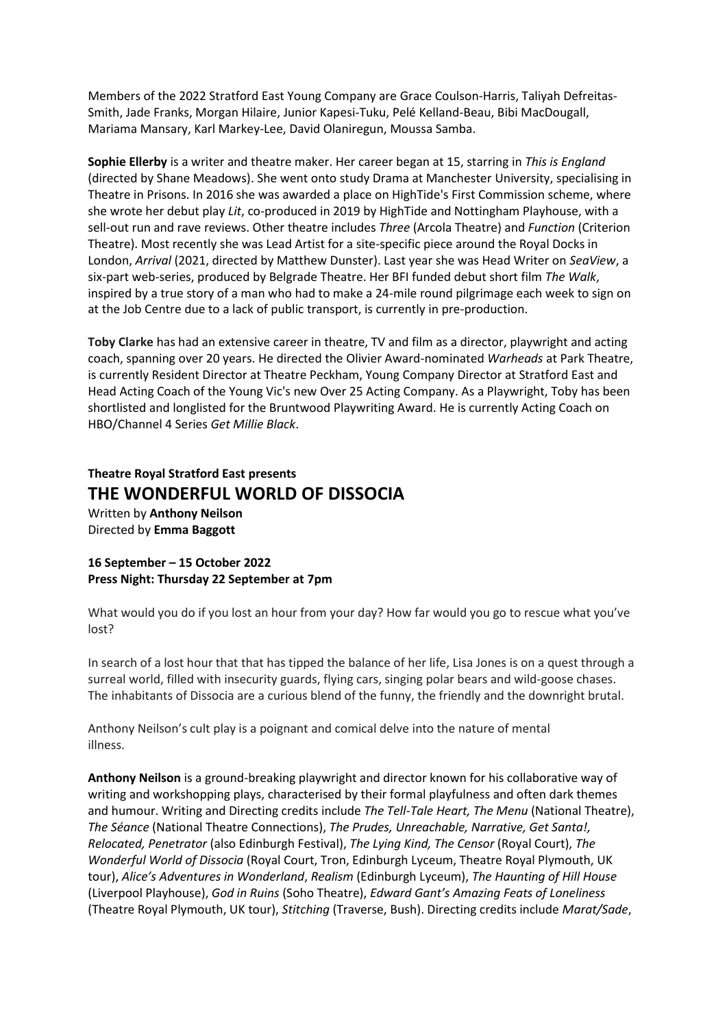Members of the 2022 Stratford East Young Company are Grace Coulson-Harris, Taliyah Defreitas-Smith, Jade Franks, Morgan Hilaire, Junior Kapesi-Tuku, Pelé Kelland-Beau, Bibi MacDougall, Mariama Mansary, Karl Markey-Lee, David Olaniregun, Moussa Samba.

**Sophie Ellerby** is a writer and theatre maker. Her career began at 15, starring in *This is England* (directed by Shane Meadows). She went onto study Drama at Manchester University, specialising in Theatre in Prisons. In 2016 she was awarded a place on HighTide's First Commission scheme, where she wrote her debut play *Lit*, co-produced in 2019 by HighTide and Nottingham Playhouse, with a sell-out run and rave reviews. Other theatre includes *Three* (Arcola Theatre) and *Function* (Criterion Theatre). Most recently she was Lead Artist for a site-specific piece around the Royal Docks in London, *Arrival* (2021, directed by Matthew Dunster). Last year she was Head Writer on *SeaView*, a six-part web-series, produced by Belgrade Theatre. Her BFI funded debut short film *The Walk*, inspired by a true story of a man who had to make a 24-mile round pilgrimage each week to sign on at the Job Centre due to a lack of public transport, is currently in pre-production.

**Toby Clarke** has had an extensive career in theatre, TV and film as a director, playwright and acting coach, spanning over 20 years. He directed the Olivier Award-nominated *Warheads* at Park Theatre, is currently Resident Director at Theatre Peckham, Young Company Director at Stratford East and Head Acting Coach of the Young Vic's new Over 25 Acting Company. As a Playwright, Toby has been shortlisted and longlisted for the Bruntwood Playwriting Award. He is currently Acting Coach on HBO/Channel 4 Series *Get Millie Black*.

# **Theatre Royal Stratford East presents THE WONDERFUL WORLD OF DISSOCIA**

Written by **Anthony Neilson** Directed by **Emma Baggott**

**16 September – 15 October 2022 Press Night: Thursday 22 September at 7pm**

What would you do if you lost an hour from your day? How far would you go to rescue what you've lost?

In search of a lost hour that that has tipped the balance of her life, Lisa Jones is on a quest through a surreal world, filled with insecurity guards, flying cars, singing polar bears and wild-goose chases. The inhabitants of Dissocia are a curious blend of the funny, the friendly and the downright brutal.

Anthony Neilson's cult play is a poignant and comical delve into the nature of mental illness.

**Anthony Neilson** is a ground-breaking playwright and director known for his collaborative way of writing and workshopping plays, characterised by their formal playfulness and often dark themes and humour. Writing and Directing credits include *The Tell-Tale Heart, The Menu* (National Theatre), *The Séance* (National Theatre Connections), *The Prudes, Unreachable, Narrative, Get Santa!, Relocated, Penetrator* (also Edinburgh Festival), *The Lying Kind, The Censor* (Royal Court), *The Wonderful World of Dissocia* (Royal Court, Tron, Edinburgh Lyceum, Theatre Royal Plymouth, UK tour), *Alice's Adventures in Wonderland*, *Realism* (Edinburgh Lyceum), *The Haunting of Hill House* (Liverpool Playhouse), *God in Ruins* (Soho Theatre), *Edward Gant's Amazing Feats of Loneliness* (Theatre Royal Plymouth, UK tour), *Stitching* (Traverse, Bush). Directing credits include *Marat/Sade*,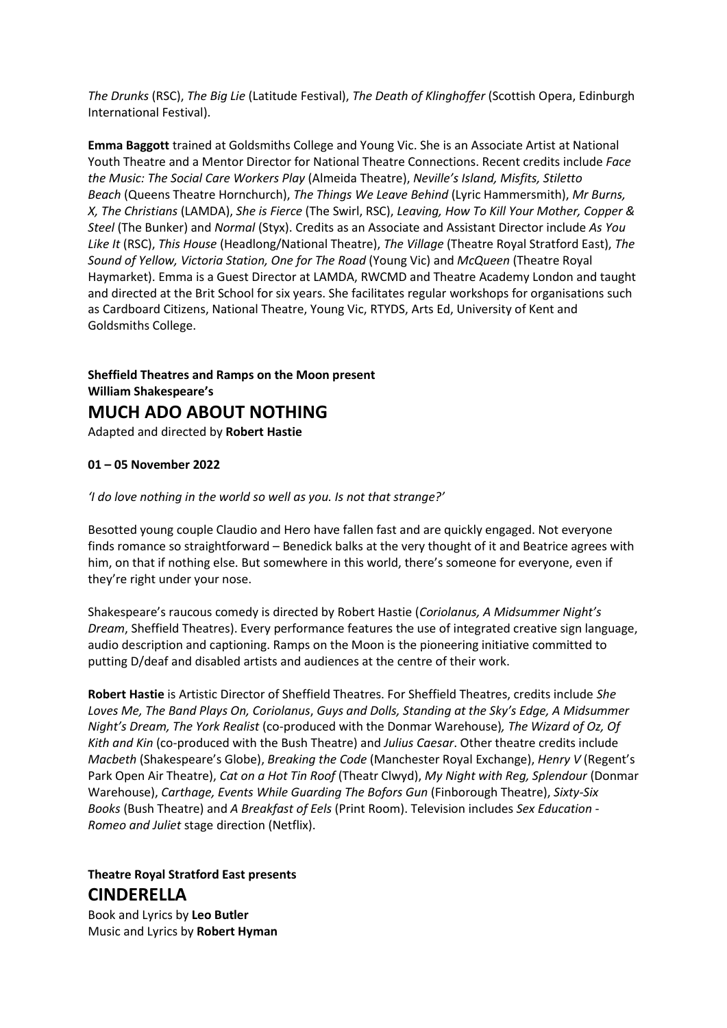*The Drunks* (RSC), *The Big Lie* (Latitude Festival), *The Death of Klinghoffer* (Scottish Opera, Edinburgh International Festival).

**Emma Baggott** trained at Goldsmiths College and Young Vic. She is an Associate Artist at National Youth Theatre and a Mentor Director for National Theatre Connections. Recent credits include *Face the Music: The Social Care Workers Play* (Almeida Theatre), *Neville's Island, Misfits, Stiletto Beach* (Queens Theatre Hornchurch), *The Things We Leave Behind* (Lyric Hammersmith), *Mr Burns, X, The Christians* (LAMDA), *She is Fierce* (The Swirl, RSC), *Leaving, How To Kill Your Mother, Copper & Steel* (The Bunker) and *Normal* (Styx). Credits as an Associate and Assistant Director include *As You Like It* (RSC), *This House* (Headlong/National Theatre), *The Village* (Theatre Royal Stratford East), *The Sound of Yellow, Victoria Station, One for The Road* (Young Vic) and *McQueen* (Theatre Royal Haymarket). Emma is a Guest Director at LAMDA, RWCMD and Theatre Academy London and taught and directed at the Brit School for six years. She facilitates regular workshops for organisations such as Cardboard Citizens, National Theatre, Young Vic, RTYDS, Arts Ed, University of Kent and Goldsmiths College.

**Sheffield Theatres and Ramps on the Moon present William Shakespeare's MUCH ADO ABOUT NOTHING** Adapted and directed by **Robert Hastie**

#### **01 – 05 November 2022**

*'I do love nothing in the world so well as you. Is not that strange?'*

Besotted young couple Claudio and Hero have fallen fast and are quickly engaged. Not everyone finds romance so straightforward – Benedick balks at the very thought of it and Beatrice agrees with him, on that if nothing else. But somewhere in this world, there's someone for everyone, even if they're right under your nose.

Shakespeare's raucous comedy is directed by Robert Hastie (*Coriolanus, A Midsummer Night's Dream*, Sheffield Theatres). Every performance features the use of integrated creative sign language, audio description and captioning. Ramps on the Moon is the pioneering initiative committed to putting D/deaf and disabled artists and audiences at the centre of their work.

**Robert Hastie** is Artistic Director of Sheffield Theatres. For Sheffield Theatres, credits include *She Loves Me, The Band Plays On, Coriolanus*, *Guys and Dolls, Standing at the Sky's Edge, A Midsummer Night's Dream, The York Realist* (co-produced with the Donmar Warehouse)*, The Wizard of Oz, Of Kith and Kin* (co-produced with the Bush Theatre) and *Julius Caesar*. Other theatre credits include *Macbeth* (Shakespeare's Globe), *Breaking the Code* (Manchester Royal Exchange), *Henry V* (Regent's Park Open Air Theatre), *Cat on a Hot Tin Roof* (Theatr Clwyd), *My Night with Reg, Splendour* (Donmar Warehouse), *Carthage, Events While Guarding The Bofors Gun* (Finborough Theatre), *Sixty-Six Books* (Bush Theatre) and *A Breakfast of Eels* (Print Room). Television includes *Sex Education* - *Romeo and Juliet* stage direction (Netflix).

**Theatre Royal Stratford East presents CINDERELLA** 

Book and Lyrics by **Leo Butler** Music and Lyrics by **Robert Hyman**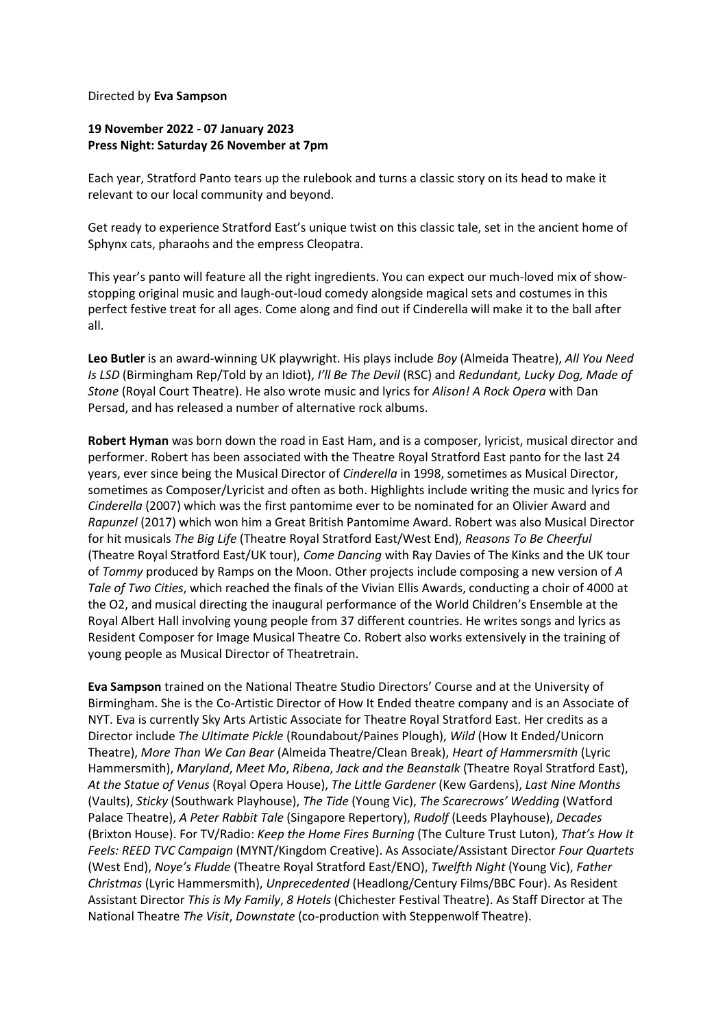#### Directed by **Eva Sampson**

### **19 November 2022 - 07 January 2023 Press Night: Saturday 26 November at 7pm**

Each year, Stratford Panto tears up the rulebook and turns a classic story on its head to make it relevant to our local community and beyond.

Get ready to experience Stratford East's unique twist on this classic tale, set in the ancient home of Sphynx cats, pharaohs and the empress Cleopatra.

This year's panto will feature all the right ingredients. You can expect our much-loved mix of showstopping original music and laugh-out-loud comedy alongside magical sets and costumes in this perfect festive treat for all ages. Come along and find out if Cinderella will make it to the ball after all.

**Leo Butler** is an award-winning UK playwright. His plays include *Boy* (Almeida Theatre), *All You Need Is LSD* (Birmingham Rep/Told by an Idiot), *I'll Be The Devil* (RSC) and *Redundant, Lucky Dog, Made of Stone* (Royal Court Theatre). He also wrote music and lyrics for *Alison! A Rock Opera* with Dan Persad, and has released a number of alternative rock albums.

**Robert Hyman** was born down the road in East Ham, and is a composer, lyricist, musical director and performer. Robert has been associated with the Theatre Royal Stratford East panto for the last 24 years, ever since being the Musical Director of *Cinderella* in 1998, sometimes as Musical Director, sometimes as Composer/Lyricist and often as both. Highlights include writing the music and lyrics for *Cinderella* (2007) which was the first pantomime ever to be nominated for an Olivier Award and *Rapunzel* (2017) which won him a Great British Pantomime Award. Robert was also Musical Director for hit musicals *The Big Life* (Theatre Royal Stratford East/West End), *Reasons To Be Cheerful* (Theatre Royal Stratford East/UK tour), *Come Dancing* with Ray Davies of The Kinks and the UK tour of *Tommy* produced by Ramps on the Moon. Other projects include composing a new version of *A Tale of Two Cities*, which reached the finals of the Vivian Ellis Awards, conducting a choir of 4000 at the O2, and musical directing the inaugural performance of the World Children's Ensemble at the Royal Albert Hall involving young people from 37 different countries. He writes songs and lyrics as Resident Composer for Image Musical Theatre Co. Robert also works extensively in the training of young people as Musical Director of Theatretrain.

**Eva Sampson** trained on the National Theatre Studio Directors' Course and at the University of Birmingham. She is the Co-Artistic Director of How It Ended theatre company and is an Associate of NYT. Eva is currently Sky Arts Artistic Associate for Theatre Royal Stratford East. Her credits as a Director include *The Ultimate Pickle* (Roundabout/Paines Plough), *Wild* (How It Ended/Unicorn Theatre), *More Than We Can Bear* (Almeida Theatre/Clean Break), *Heart of Hammersmith* (Lyric Hammersmith), *Maryland*, *Meet Mo*, *Ribena*, *Jack and the Beanstalk* (Theatre Royal Stratford East), *At the Statue of Venus* (Royal Opera House), *The Little Gardener* (Kew Gardens), *Last Nine Months* (Vaults), *Sticky* (Southwark Playhouse), *The Tide* (Young Vic), *The Scarecrows' Wedding* (Watford Palace Theatre), *A Peter Rabbit Tale* (Singapore Repertory), *Rudolf* (Leeds Playhouse), *Decades* (Brixton House). For TV/Radio: *Keep the Home Fires Burning* (The Culture Trust Luton), *That's How It Feels: REED TVC Campaign* (MYNT/Kingdom Creative). As Associate/Assistant Director *Four Quartets* (West End), *Noye's Fludde* (Theatre Royal Stratford East/ENO), *Twelfth Night* (Young Vic), *Father Christmas* (Lyric Hammersmith), *Unprecedented* (Headlong/Century Films/BBC Four). As Resident Assistant Director *This is My Family*, *8 Hotels* (Chichester Festival Theatre). As Staff Director at The National Theatre *The Visit*, *Downstate* (co-production with Steppenwolf Theatre).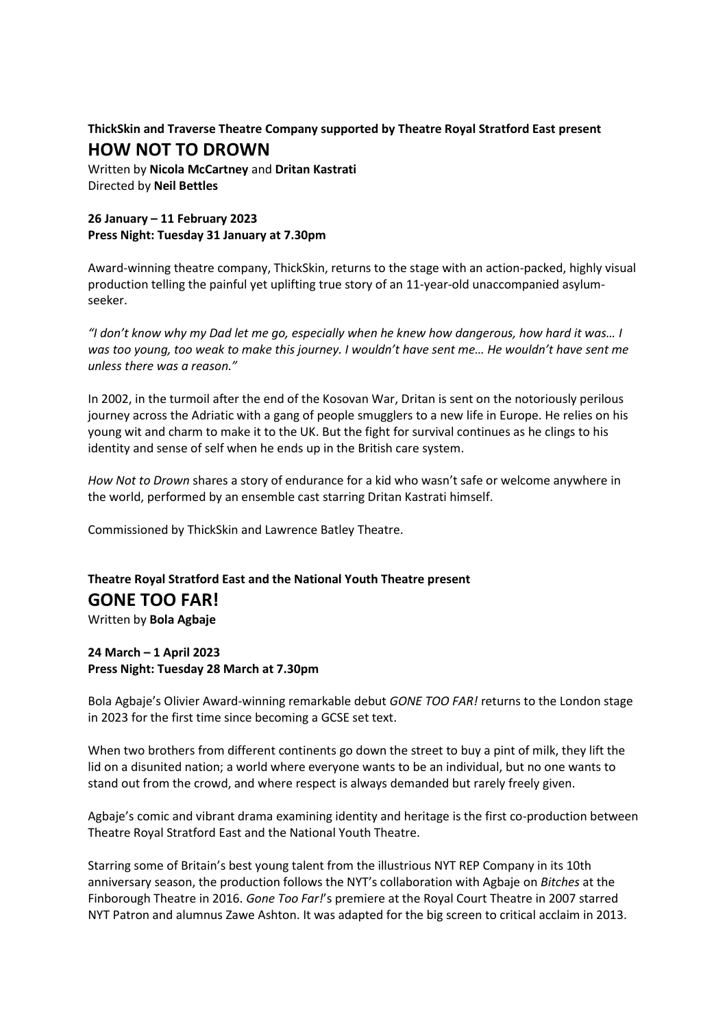## **ThickSkin and Traverse Theatre Company supported by Theatre Royal Stratford East present HOW NOT TO DROWN**

Written by **Nicola McCartney** and **Dritan Kastrati** Directed by **Neil Bettles**

## **26 January – 11 February 2023 Press Night: Tuesday 31 January at 7.30pm**

Award-winning theatre company, ThickSkin, returns to the stage with an action-packed, highly visual production telling the painful yet uplifting true story of an 11-year-old unaccompanied asylumseeker.

*"I don't know why my Dad let me go, especially when he knew how dangerous, how hard it was… I was too young, too weak to make this journey. I wouldn't have sent me… He wouldn't have sent me unless there was a reason."*

In 2002, in the turmoil after the end of the Kosovan War, Dritan is sent on the notoriously perilous journey across the Adriatic with a gang of people smugglers to a new life in Europe. He relies on his young wit and charm to make it to the UK. But the fight for survival continues as he clings to his identity and sense of self when he ends up in the British care system.

*How Not to Drown* shares a story of endurance for a kid who wasn't safe or welcome anywhere in the world, performed by an ensemble cast starring Dritan Kastrati himself.

Commissioned by ThickSkin and Lawrence Batley Theatre.

# **Theatre Royal Stratford East and the National Youth Theatre present GONE TOO FAR!**

Written by **Bola Agbaje**

## **24 March – 1 April 2023 Press Night: Tuesday 28 March at 7.30pm**

Bola Agbaje's Olivier Award-winning remarkable debut *GONE TOO FAR!* returns to the London stage in 2023 for the first time since becoming a GCSE set text.

When two brothers from different continents go down the street to buy a pint of milk, they lift the lid on a disunited nation; a world where everyone wants to be an individual, but no one wants to stand out from the crowd, and where respect is always demanded but rarely freely given.

Agbaje's comic and vibrant drama examining identity and heritage is the first co-production between Theatre Royal Stratford East and the National Youth Theatre.

Starring some of Britain's best young talent from the illustrious NYT REP Company in its 10th anniversary season, the production follows the NYT's collaboration with Agbaje on *Bitches* at the Finborough Theatre in 2016. *Gone Too Far!*'s premiere at the Royal Court Theatre in 2007 starred NYT Patron and alumnus Zawe Ashton. It was adapted for the big screen to critical acclaim in 2013.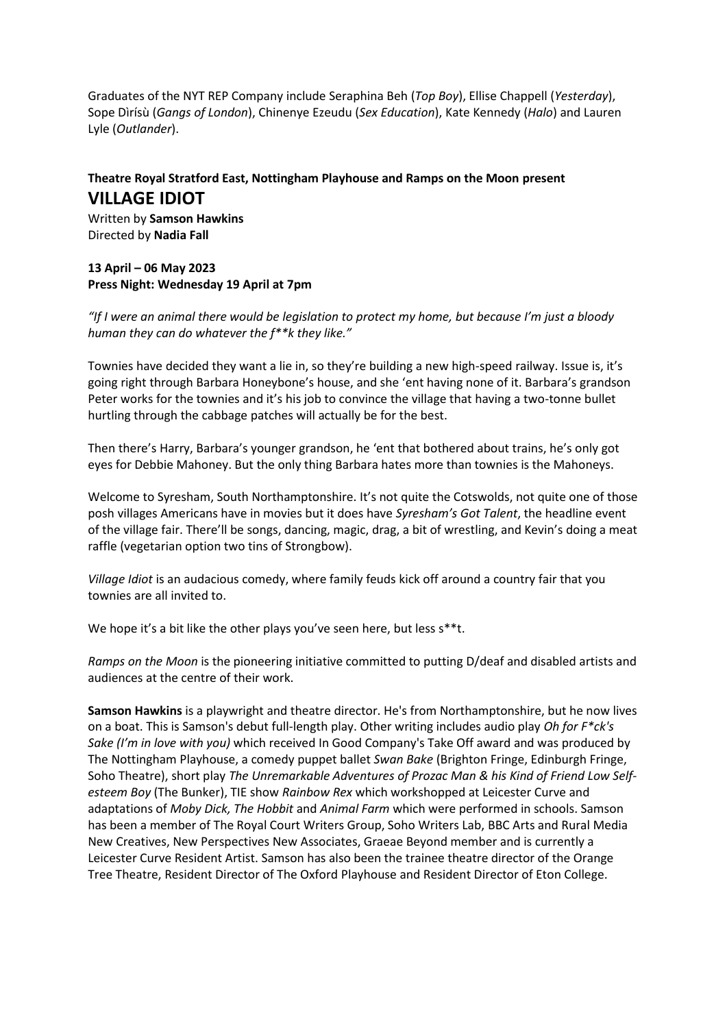Graduates of the NYT REP Company include Seraphina Beh (*Top Boy*), Ellise Chappell (*Yesterday*), Sope Dìrísù (*Gangs of London*), Chinenye Ezeudu (*Sex Education*), Kate Kennedy (*Halo*) and Lauren Lyle (*Outlander*).

## **Theatre Royal Stratford East, Nottingham Playhouse and Ramps on the Moon present VILLAGE IDIOT**

Written by **Samson Hawkins** Directed by **Nadia Fall**

### **13 April – 06 May 2023 Press Night: Wednesday 19 April at 7pm**

*"If I were an animal there would be legislation to protect my home, but because I'm just a bloody human they can do whatever the f\*\*k they like."*

Townies have decided they want a lie in, so they're building a new high-speed railway. Issue is, it's going right through Barbara Honeybone's house, and she 'ent having none of it. Barbara's grandson Peter works for the townies and it's his job to convince the village that having a two-tonne bullet hurtling through the cabbage patches will actually be for the best.

Then there's Harry, Barbara's younger grandson, he 'ent that bothered about trains, he's only got eyes for Debbie Mahoney. But the only thing Barbara hates more than townies is the Mahoneys.

Welcome to Syresham, South Northamptonshire. It's not quite the Cotswolds, not quite one of those posh villages Americans have in movies but it does have *Syresham's Got Talent*, the headline event of the village fair. There'll be songs, dancing, magic, drag, a bit of wrestling, and Kevin's doing a meat raffle (vegetarian option two tins of Strongbow).

*Village Idiot* is an audacious comedy, where family feuds kick off around a country fair that you townies are all invited to.

We hope it's a bit like the other plays you've seen here, but less s\*\*t.

*Ramps on the Moon* is the pioneering initiative committed to putting D/deaf and disabled artists and audiences at the centre of their work.

**Samson Hawkins** is a playwright and theatre director. He's from Northamptonshire, but he now lives on a boat. This is Samson's debut full-length play. Other writing includes audio play *Oh for F\*ck's Sake (I'm in love with you)* which received In Good Company's Take Off award and was produced by The Nottingham Playhouse, a comedy puppet ballet *Swan Bake* (Brighton Fringe, Edinburgh Fringe, Soho Theatre), short play *The Unremarkable Adventures of Prozac Man & his Kind of Friend Low Selfesteem Boy* (The Bunker), TIE show *Rainbow Rex* which workshopped at Leicester Curve and adaptations of *Moby Dick, The Hobbit* and *Animal Farm* which were performed in schools. Samson has been a member of The Royal Court Writers Group, Soho Writers Lab, BBC Arts and Rural Media New Creatives, New Perspectives New Associates, Graeae Beyond member and is currently a Leicester Curve Resident Artist. Samson has also been the trainee theatre director of the Orange Tree Theatre, Resident Director of The Oxford Playhouse and Resident Director of Eton College.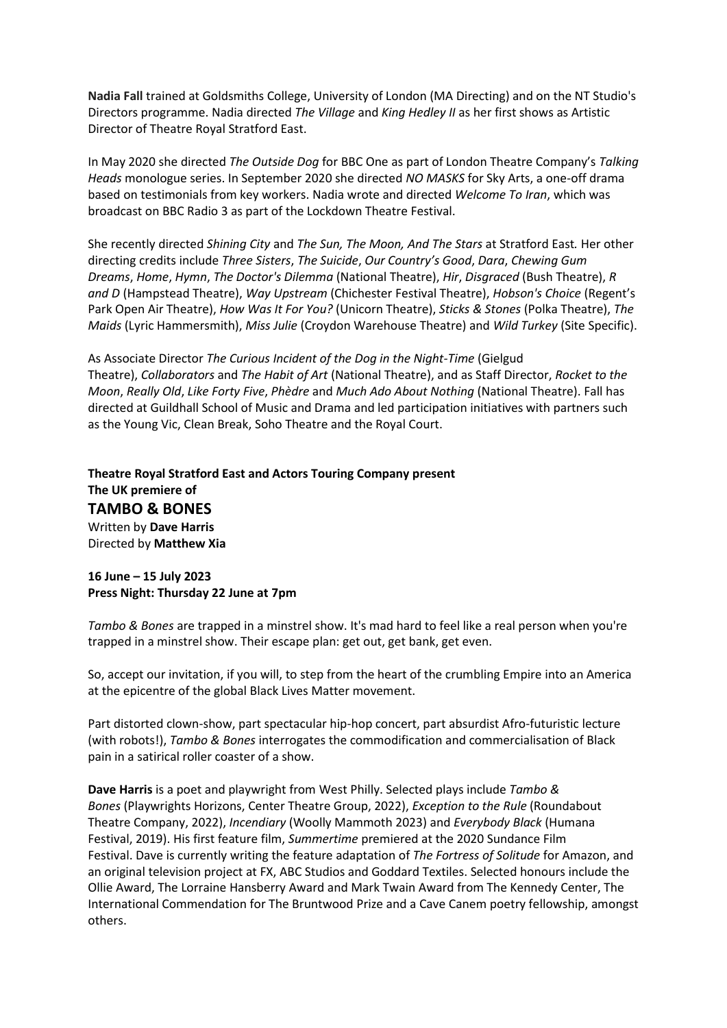**Nadia Fall** trained at Goldsmiths College, University of London (MA Directing) and on the NT Studio's Directors programme. Nadia directed *The Village* and *King Hedley II* as her first shows as Artistic Director of Theatre Royal Stratford East.

In May 2020 she directed *The Outside Dog* for BBC One as part of London Theatre Company's *Talking Heads* monologue series. In September 2020 she directed *NO MASKS* for Sky Arts, a one-off drama based on testimonials from key workers. Nadia wrote and directed *Welcome To Iran*, which was broadcast on BBC Radio 3 as part of the Lockdown Theatre Festival.

She recently directed *Shining City* and *The Sun, The Moon, And The Stars* at Stratford East*.* Her other directing credits include *Three Sisters*, *The Suicide*, *Our Country's Good*, *Dara*, *Chewing Gum Dreams*, *Home*, *Hymn*, *The Doctor's Dilemma* (National Theatre), *Hir*, *Disgraced* (Bush Theatre), *R and D* (Hampstead Theatre), *Way Upstream* (Chichester Festival Theatre), *Hobson's Choice* (Regent's Park Open Air Theatre), *How Was It For You?* (Unicorn Theatre), *Sticks & Stones* (Polka Theatre), *The Maids* (Lyric Hammersmith), *Miss Julie* (Croydon Warehouse Theatre) and *Wild Turkey* (Site Specific).

As Associate Director *The Curious Incident of the Dog in the Night-Time* (Gielgud Theatre), *Collaborators* and *The Habit of Art* (National Theatre), and as Staff Director, *Rocket to the Moon*, *Really Old*, *Like Forty Five*, *Phèdre* and *Much Ado About Nothing* (National Theatre). Fall has directed at Guildhall School of Music and Drama and led participation initiatives with partners such as the Young Vic, Clean Break, Soho Theatre and the Royal Court.

**Theatre Royal Stratford East and Actors Touring Company present The UK premiere of TAMBO & BONES**  Written by **Dave Harris** Directed by **Matthew Xia** 

#### **16 June – 15 July 2023 Press Night: Thursday 22 June at 7pm**

*Tambo & Bones* are trapped in a minstrel show. It's mad hard to feel like a real person when you're trapped in a minstrel show. Their escape plan: get out, get bank, get even.

So, accept our invitation, if you will, to step from the heart of the crumbling Empire into an America at the epicentre of the global Black Lives Matter movement.

Part distorted clown-show, part spectacular hip-hop concert, part absurdist Afro-futuristic lecture (with robots!), *Tambo & Bones* interrogates the commodification and commercialisation of Black pain in a satirical roller coaster of a show.

**Dave Harris** is a poet and playwright from West Philly. Selected plays include *Tambo & Bones* (Playwrights Horizons, Center Theatre Group, 2022), *Exception to the Rule* (Roundabout Theatre Company, 2022), *Incendiary* (Woolly Mammoth 2023) and *Everybody Black* (Humana Festival, 2019). His first feature film, *Summertime* premiered at the 2020 Sundance Film Festival. Dave is currently writing the feature adaptation of *The Fortress of Solitude* for Amazon, and an original television project at FX, ABC Studios and Goddard Textiles. Selected honours include the Ollie Award, The Lorraine Hansberry Award and Mark Twain Award from The Kennedy Center, The International Commendation for The Bruntwood Prize and a Cave Canem poetry fellowship, amongst others.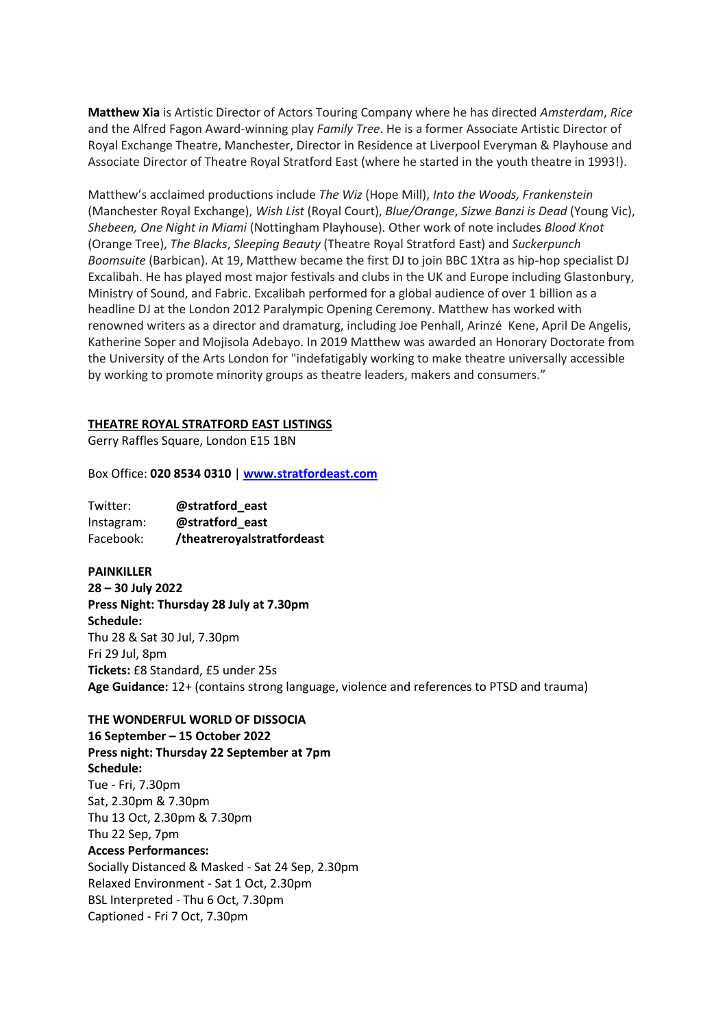**Matthew Xia** is Artistic Director of Actors Touring Company where he has directed *Amsterdam*, *Rice* and the Alfred Fagon Award-winning play *Family Tree*. He is a former Associate Artistic Director of Royal Exchange Theatre, Manchester, Director in Residence at Liverpool Everyman & Playhouse and Associate Director of Theatre Royal Stratford East (where he started in the youth theatre in 1993!).

Matthew's acclaimed productions include *The Wiz* (Hope Mill), *Into the Woods, Frankenstein*  (Manchester Royal Exchange), *Wish List* (Royal Court), *Blue/Orange*, *Sizwe Banzi is Dead* (Young Vic), *Shebeen, One Night in Miami* (Nottingham Playhouse). Other work of note includes *Blood Knot* (Orange Tree), *The Blacks*, *Sleeping Beauty* (Theatre Royal Stratford East) and *Suckerpunch Boomsuite* (Barbican). At 19, Matthew became the first DJ to join BBC 1Xtra as hip-hop specialist DJ Excalibah. He has played most major festivals and clubs in the UK and Europe including Glastonbury, Ministry of Sound, and Fabric. Excalibah performed for a global audience of over 1 billion as a headline DJ at the London 2012 Paralympic Opening Ceremony. Matthew has worked with renowned writers as a director and dramaturg, including Joe Penhall, Arinzé Kene, April De Angelis, Katherine Soper and Mojisola Adebayo. In 2019 Matthew was awarded an Honorary Doctorate from the University of the Arts London for "indefatigably working to make theatre universally accessible by working to promote minority groups as theatre leaders, makers and consumers."

#### **THEATRE ROYAL STRATFORD EAST LISTINGS**

Gerry Raffles Square, London E15 1BN

Box Office: **020 8534 0310** | **[www.stratfordeast.com](http://www.stratfordeast.com/)**

Twitter: **@stratford\_east** Instagram: **@stratford\_east** Facebook: **/theatreroyalstratfordeast**

**PAINKILLER 28 – 30 July 2022 Press Night: Thursday 28 July at 7.30pm Schedule:** Thu 28 & Sat 30 Jul, 7.30pm Fri 29 Jul, 8pm **Tickets:** £8 Standard, £5 under 25s **Age Guidance:** 12+ (contains strong language, violence and references to PTSD and trauma)

#### **THE WONDERFUL WORLD OF DISSOCIA**

**16 September – 15 October 2022 Press night: Thursday 22 September at 7pm Schedule:** Tue - Fri, 7.30pm Sat, 2.30pm & 7.30pm Thu 13 Oct, 2.30pm & 7.30pm Thu 22 Sep, 7pm **Access Performances:**  Socially Distanced & Masked - Sat 24 Sep, 2.30pm Relaxed Environment - Sat 1 Oct, 2.30pm BSL Interpreted - Thu 6 Oct, 7.30pm Captioned - Fri 7 Oct, 7.30pm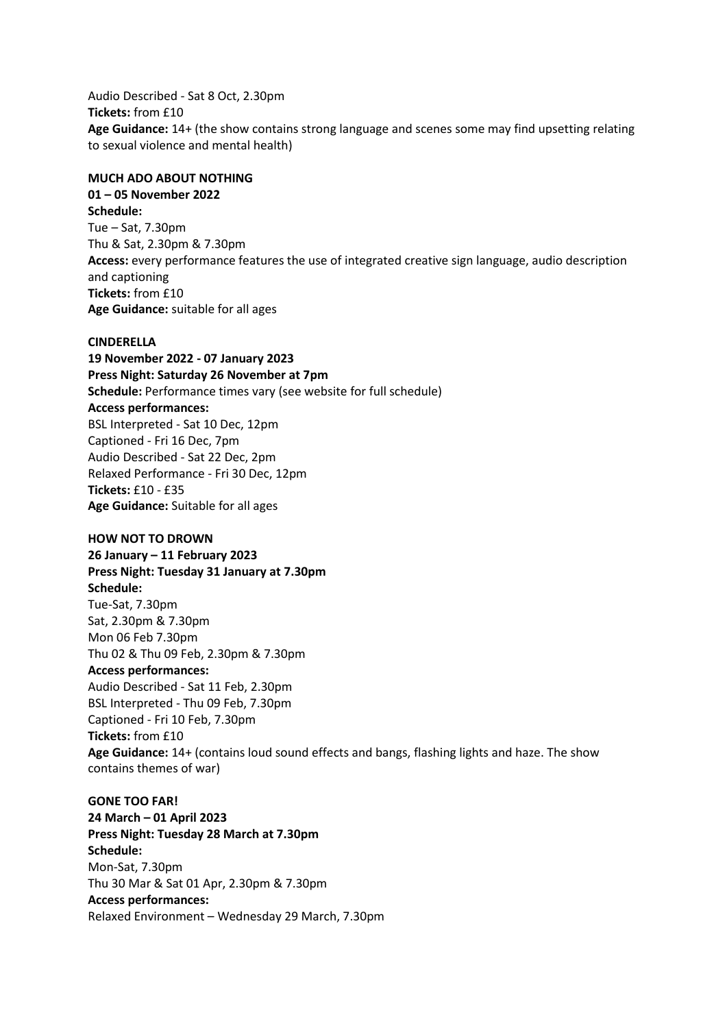Audio Described - Sat 8 Oct, 2.30pm **Tickets:** from £10 **Age Guidance:** 14+ (the show contains strong language and scenes some may find upsetting relating to sexual violence and mental health)

#### **MUCH ADO ABOUT NOTHING**

**01 – 05 November 2022 Schedule:** Tue – Sat, 7.30pm Thu & Sat, 2.30pm & 7.30pm **Access:** every performance features the use of integrated creative sign language, audio description and captioning **Tickets:** from £10 **Age Guidance:** suitable for all ages

#### **CINDERELLA**

**19 November 2022 - 07 January 2023 Press Night: Saturday 26 November at 7pm Schedule:** Performance times vary (see website for full schedule) **Access performances:** BSL Interpreted - Sat 10 Dec, 12pm Captioned - Fri 16 Dec, 7pm Audio Described - Sat 22 Dec, 2pm Relaxed Performance - Fri 30 Dec, 12pm **Tickets:** £10 - £35 **Age Guidance:** Suitable for all ages

#### **HOW NOT TO DROWN**

**26 January – 11 February 2023 Press Night: Tuesday 31 January at 7.30pm Schedule:** Tue-Sat, 7.30pm Sat, 2.30pm & 7.30pm Mon 06 Feb 7.30pm Thu 02 & Thu 09 Feb, 2.30pm & 7.30pm **Access performances:** Audio Described - Sat 11 Feb, 2.30pm BSL Interpreted - Thu 09 Feb, 7.30pm Captioned - Fri 10 Feb, 7.30pm **Tickets:** from £10 **Age Guidance:** 14+ (contains loud sound effects and bangs, flashing lights and haze. The show contains themes of war)

#### **GONE TOO FAR!**

**24 March – 01 April 2023 Press Night: Tuesday 28 March at 7.30pm Schedule:** Mon-Sat, 7.30pm Thu 30 Mar & Sat 01 Apr, 2.30pm & 7.30pm **Access performances:** Relaxed Environment – Wednesday 29 March, 7.30pm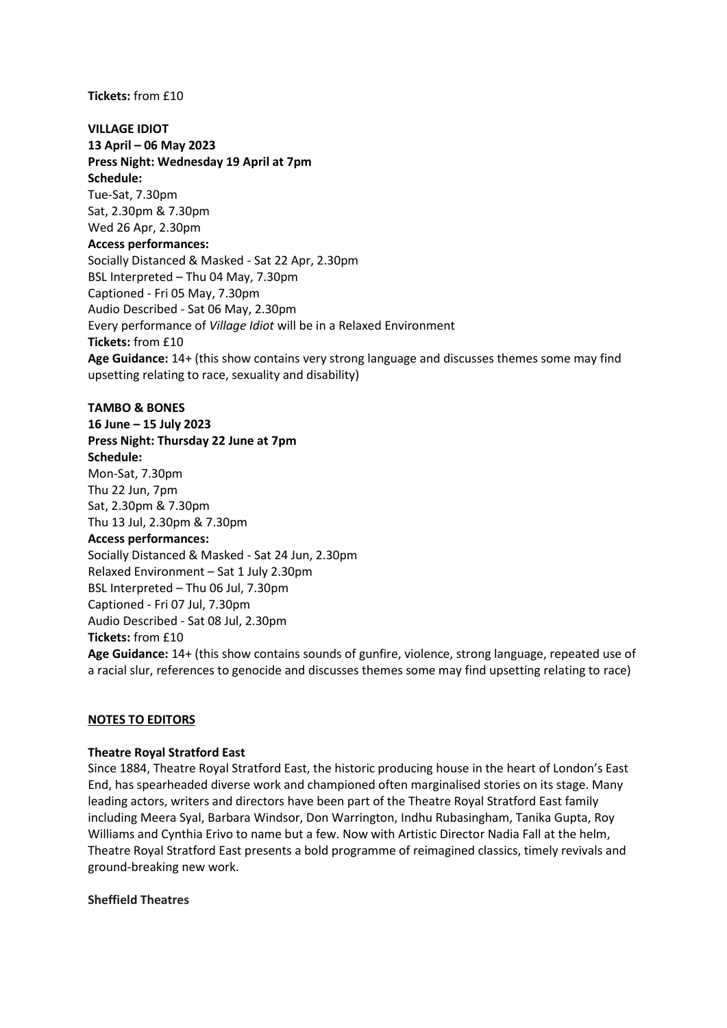**Tickets:** from £10

**VILLAGE IDIOT 13 April – 06 May 2023 Press Night: Wednesday 19 April at 7pm Schedule:** Tue-Sat, 7.30pm Sat, 2.30pm & 7.30pm Wed 26 Apr, 2.30pm **Access performances:** Socially Distanced & Masked - Sat 22 Apr, 2.30pm BSL Interpreted – Thu 04 May, 7.30pm Captioned - Fri 05 May, 7.30pm Audio Described - Sat 06 May, 2.30pm Every performance of *Village Idiot* will be in a Relaxed Environment **Tickets:** from £10 **Age Guidance:** 14+ (this show contains very strong language and discusses themes some may find upsetting relating to race, sexuality and disability)

#### **TAMBO & BONES**

**16 June – 15 July 2023 Press Night: Thursday 22 June at 7pm Schedule:**  Mon-Sat, 7.30pm Thu 22 Jun, 7pm Sat, 2.30pm & 7.30pm Thu 13 Jul, 2.30pm & 7.30pm **Access performances:**

Socially Distanced & Masked - Sat 24 Jun, 2.30pm Relaxed Environment – Sat 1 July 2.30pm BSL Interpreted – Thu 06 Jul, 7.30pm Captioned - Fri 07 Jul, 7.30pm Audio Described - Sat 08 Jul, 2.30pm **Tickets:** from £10

**Age Guidance:** 14+ (this show contains sounds of gunfire, violence, strong language, repeated use of a racial slur, references to genocide and discusses themes some may find upsetting relating to race)

#### **NOTES TO EDITORS**

#### **Theatre Royal Stratford East**

Since 1884, Theatre Royal Stratford East, the historic producing house in the heart of London's East End, has spearheaded diverse work and championed often marginalised stories on its stage. Many leading actors, writers and directors have been part of the Theatre Royal Stratford East family including Meera Syal, Barbara Windsor, Don Warrington, Indhu Rubasingham, Tanika Gupta, Roy Williams and Cynthia Erivo to name but a few. Now with Artistic Director Nadia Fall at the helm, Theatre Royal Stratford East presents a bold programme of reimagined classics, timely revivals and ground-breaking new work.

#### **Sheffield Theatres**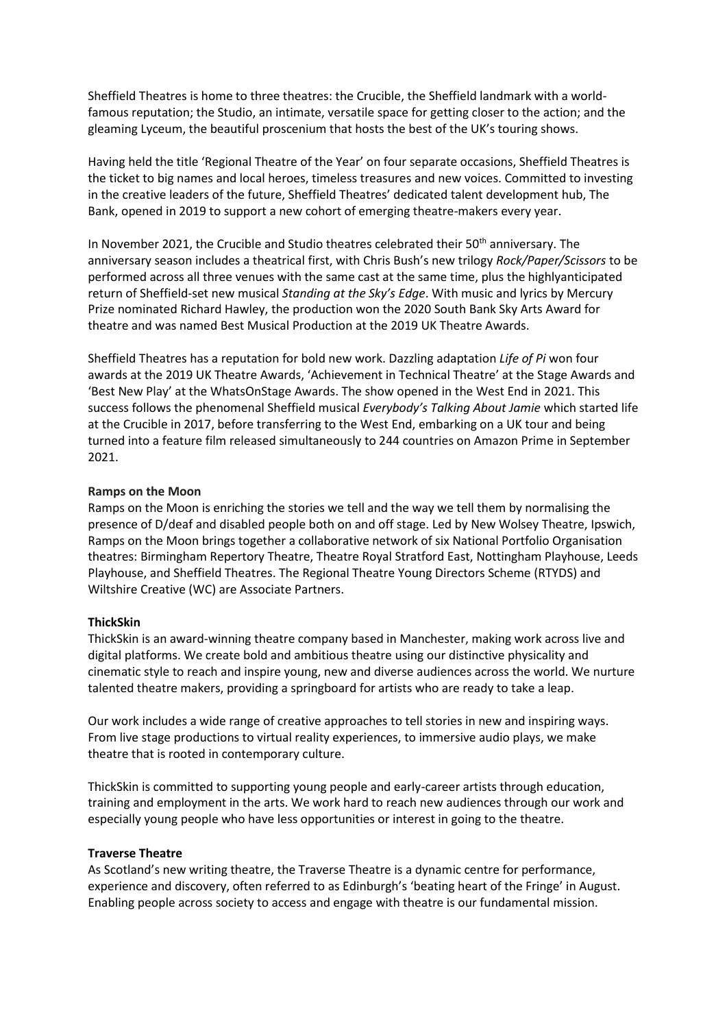Sheffield Theatres is home to three theatres: the Crucible, the Sheffield landmark with a worldfamous reputation; the Studio, an intimate, versatile space for getting closer to the action; and the gleaming Lyceum, the beautiful proscenium that hosts the best of the UK's touring shows.

Having held the title 'Regional Theatre of the Year' on four separate occasions, Sheffield Theatres is the ticket to big names and local heroes, timeless treasures and new voices. Committed to investing in the creative leaders of the future, Sheffield Theatres' dedicated talent development hub, The Bank, opened in 2019 to support a new cohort of emerging theatre-makers every year.

In November 2021, the Crucible and Studio theatres celebrated their 50<sup>th</sup> anniversary. The anniversary season includes a theatrical first, with Chris Bush's new trilogy *Rock/Paper/Scissors* to be performed across all three venues with the same cast at the same time, plus the highlyanticipated return of Sheffield-set new musical *Standing at the Sky's Edge*. With music and lyrics by Mercury Prize nominated Richard Hawley, the production won the 2020 South Bank Sky Arts Award for theatre and was named Best Musical Production at the 2019 UK Theatre Awards.

Sheffield Theatres has a reputation for bold new work. Dazzling adaptation *Life of Pi* won four awards at the 2019 UK Theatre Awards, 'Achievement in Technical Theatre' at the Stage Awards and 'Best New Play' at the WhatsOnStage Awards. The show opened in the West End in 2021. This success follows the phenomenal Sheffield musical *Everybody's Talking About Jamie* which started life at the Crucible in 2017, before transferring to the West End, embarking on a UK tour and being turned into a feature film released simultaneously to 244 countries on Amazon Prime in September 2021.

#### **Ramps on the Moon**

Ramps on the Moon is enriching the stories we tell and the way we tell them by normalising the presence of D/deaf and disabled people both on and off stage. Led by New Wolsey Theatre, Ipswich, Ramps on the Moon brings together a collaborative network of six National Portfolio Organisation theatres: Birmingham Repertory Theatre, Theatre Royal Stratford East, Nottingham Playhouse, Leeds Playhouse, and Sheffield Theatres. The Regional Theatre Young Directors Scheme (RTYDS) and Wiltshire Creative (WC) are Associate Partners.

#### **ThickSkin**

ThickSkin is an award-winning theatre company based in Manchester, making work across live and digital platforms. We create bold and ambitious theatre using our distinctive physicality and cinematic style to reach and inspire young, new and diverse audiences across the world. We nurture talented theatre makers, providing a springboard for artists who are ready to take a leap.

Our work includes a wide range of creative approaches to tell stories in new and inspiring ways. From live stage productions to virtual reality experiences, to immersive audio plays, we make theatre that is rooted in contemporary culture.

ThickSkin is committed to supporting young people and early-career artists through education, training and employment in the arts. We work hard to reach new audiences through our work and especially young people who have less opportunities or interest in going to the theatre.

#### **Traverse Theatre**

As Scotland's new writing theatre, the Traverse Theatre is a dynamic centre for performance, experience and discovery, often referred to as Edinburgh's 'beating heart of the Fringe' in August. Enabling people across society to access and engage with theatre is our fundamental mission.